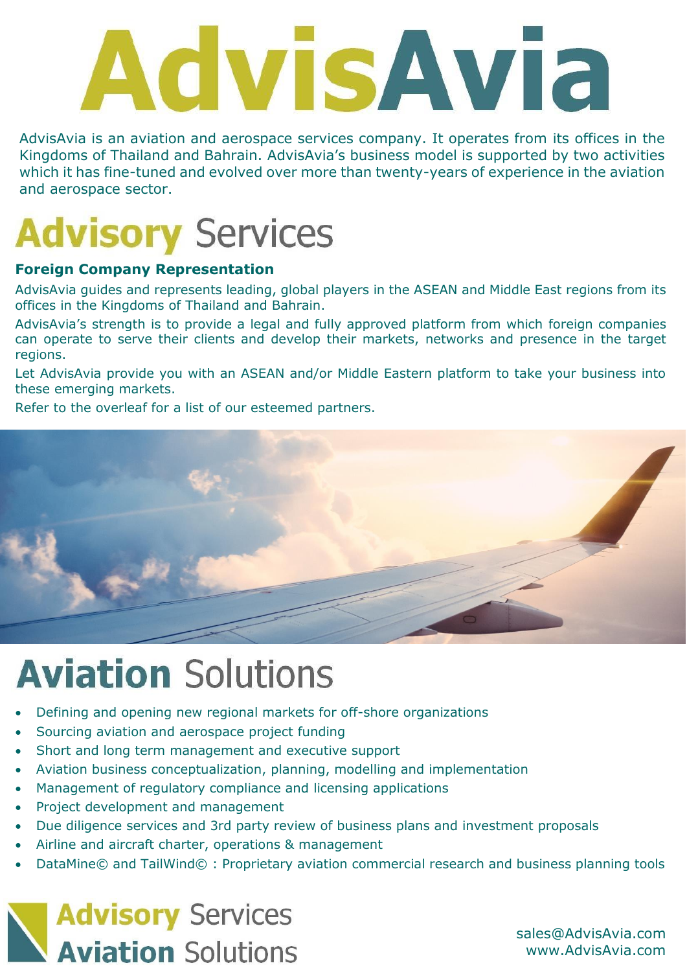# **AdvisAvia**

AdvisAvia is an aviation and aerospace services company. It operates from its offices in the Kingdoms of Thailand and Bahrain. AdvisAvia's business model is supported by two activities which it has fine-tuned and evolved over more than twenty-years of experience in the aviation and aerospace sector.

# **Advisory Services**

### **Foreign Company Representation**

AdvisAvia guides and represents leading, global players in the ASEAN and Middle East regions from its offices in the Kingdoms of Thailand and Bahrain.

AdvisAvia's strength is to provide a legal and fully approved platform from which foreign companies can operate to serve their clients and develop their markets, networks and presence in the target regions.

Let AdvisAvia provide you with an ASEAN and/or Middle Eastern platform to take your business into these emerging markets.

Refer to the overleaf for a list of our esteemed partners.



# **Aviation Solutions**

- Defining and opening new regional markets for off-shore organizations
- Sourcing aviation and aerospace project funding
- Short and long term management and executive support
- Aviation business conceptualization, planning, modelling and implementation
- Management of regulatory compliance and licensing applications
- Project development and management
- Due diligence services and 3rd party review of business plans and investment proposals
- Airline and aircraft charter, operations & management
- DataMine© and TailWind© : Proprietary aviation commercial research and business planning tools



sales@AdvisAvia.com www.AdvisAvia.com